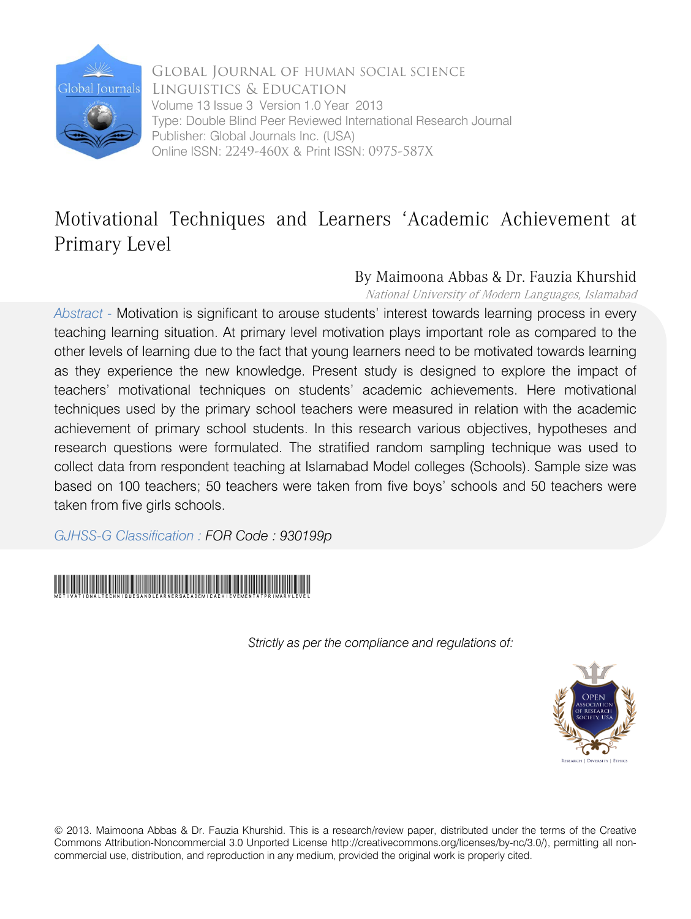

Global Journal of HUMAN SOCIAL SCIENCE Linguistics & Education Volume 13 Issue 3 Version 1.0 Year 2013 Type: Double Blind Peer Reviewed International Research Journal Publisher: Global Journals Inc. (USA) Online ISSN: 2249-460x & Print ISSN: 0975-587X

## Motivational Techniques and Learners 'Academic Achievement at Primary Level

## By Maimoona Abbas & Dr. Fauzia Khurshid

National University of Modern Languages, Islamabad

*Abstract -* Motivation is significant to arouse students' interest towards learning process in every teaching learning situation. At primary level motivation plays important role as compared to the other levels of learning due to the fact that young learners need to be motivated towards learning as they experience the new knowledge. Present study is designed to explore the impact of teachers' motivational techniques on students' academic achievements. Here motivational techniques used by the primary school teachers were measured in relation with the academic achievement of primary school students. In this research various objectives, hypotheses and research questions were formulated. The stratified random sampling technique was used to collect data from respondent teaching at Islamabad Model colleges (Schools). Sample size was based on 100 teachers; 50 teachers were taken from five boys' schools and 50 teachers were taken from five girls schools.

*GJHSS-G Classification : FOR Code : 930199p*



*Strictly as per the compliance and regulations of:*



© 2013. Maimoona Abbas & Dr. Fauzia Khurshid. This is a research/review paper, distributed under the terms of the Creative Commons Attribution-Noncommercial 3.0 Unported License http://creativecommons.org/licenses/by-nc/3.0/), permitting all noncommercial use, distribution, and reproduction in any medium, provided the original work is properly cited.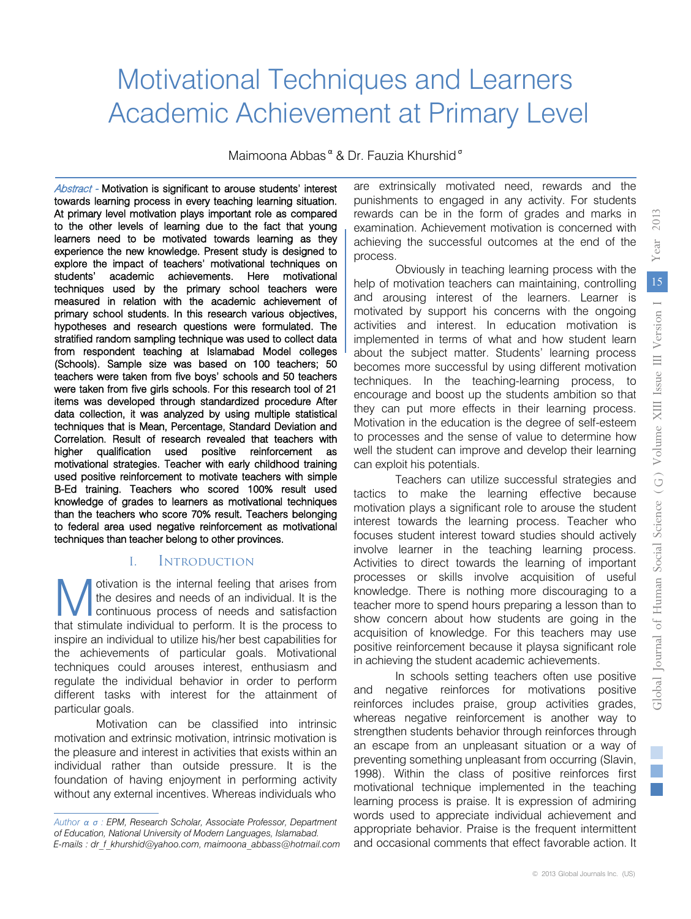# Motivational Techniques and Learners Academic Achievement at Primary Level

Maimoona Abbas<sup>«</sup> & Dr. Fauzia Khurshid<sup>®</sup>

Abstract - Motivation is significant to arouse students' interest towards learning process in every teaching learning situation. At primary level motivation plays important role as compared to the other levels of learning due to the fact that young learners need to be motivated towards learning as they experience the new knowledge. Present study is designed to explore the impact of teachers' motivational techniques on students' academic achievements. Here motivational techniques used by the primary school teachers were measured in relation with the academic achievement of primary school students. In this research various objectives, hypotheses and research questions were formulated. The stratified random sampling technique was used to collect data from respondent teaching at Islamabad Model colleges (Schools). Sample size was based on 100 teachers; 50 teachers were taken from five boys' schools and 50 teachers were taken from five girls schools. For this research tool of 21 items was developed through standardized procedure After data collection, it was analyzed by using multiple statistical techniques that is Mean, Percentage, Standard Deviation and Correlation. Result of research revealed that teachers with higher qualification used positive reinforcement as motivational strategies. Teacher with early childhood training used positive reinforcement to motivate teachers with simple B-Ed training. Teachers who scored 100% result used knowledge of grades to learners as motivational techniques than the teachers who score 70% result. Teachers belonging to federal area used negative reinforcement as motivational techniques than teacher belong to other provinces.

#### I. Introduction

otivation is the internal feeling that arises from the desires and needs of an individual. It is the continuous process of needs and satisfaction **that stimulate** individual to perform. It is the process to that stimulate individual to perform. It is the process to inspire an individual to utilize his/her best capabilities for the achievements of particular goals. Motivational techniques could arouses interest, enthusiasm and regulate the individual behavior in order to perform different tasks with interest for the attainment of particular goals.

Motivation can be classified into intrinsic motivation and extrinsic motivation, intrinsic motivation is the pleasure and interest in activities that exists within an individual rather than outside pressure. It is the foundation of having enjoyment in performing activity without any external incentives. Whereas individuals who are extrinsically motivated need, rewards and the punishments to engaged in any activity. For students rewards can be in the form of grades and marks in examination. Achievement motivation is concerned with achieving the successful outcomes at the end of the process.

Obviously in teaching learning process with the help of motivation teachers can maintaining, controlling and arousing interest of the learners. Learner is motivated by support his concerns with the ongoing activities and interest. In education motivation is implemented in terms of what and how student learn about the subject matter. Students' learning process becomes more successful by using different motivation techniques. In the teaching-learning process, to encourage and boost up the students ambition so that they can put more effects in their learning process. Motivation in the education is the degree of self-esteem to processes and the sense of value to determine how well the student can improve and develop their learning can exploit his potentials.

Teachers can utilize successful strategies and tactics to make the learning effective because motivation plays a significant role to arouse the student interest towards the learning process. Teacher who focuses student interest toward studies should actively involve learner in the teaching learning process. Activities to direct towards the learning of important processes or skills involve acquisition of useful knowledge. There is nothing more discouraging to a teacher more to spend hours preparing a lesson than to show concern about how students are going in the acquisition of knowledge. For this teachers may use positive reinforcement because it playsa significant role in achieving the student academic achievements.

In schools setting teachers often use positive and negative reinforces for motivations positive reinforces includes praise, group activities grades, whereas negative reinforcement is another way to strengthen students behavior through reinforces through an escape from an unpleasant situation or a way of preventing something unpleasant from occurring (Slavin, 1998). Within the class of positive reinforces first motivational technique implemented in the teaching learning process is praise. It is expression of admiring words used to appreciate individual achievement and appropriate behavior. Praise is the frequent intermittent and occasional comments that effect favorable action. It

*Author ɲ ʍ : EPM, Research Scholar, Associate Professor, Department of Education, National University of Modern Languages, Islamabad. E-mails : dr\_f\_khurshid@yahoo.com, maimoona\_abbass@hotmail.com*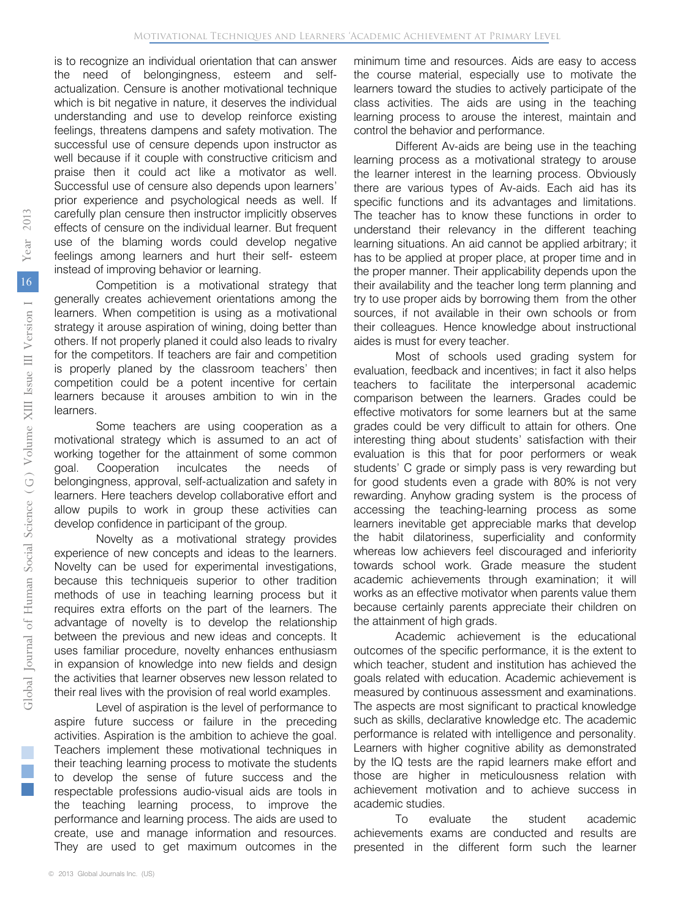is to recognize an individual orientation that can answer the need of belongingness, esteem and selfactualization. Censure is another motivational technique which is bit negative in nature, it deserves the individual understanding and use to develop reinforce existing feelings, threatens dampens and safety motivation. The successful use of censure depends upon instructor as well because if it couple with constructive criticism and praise then it could act like a motivator as well. Successful use of censure also depends upon learners' prior experience and psychological needs as well. If carefully plan censure then instructor implicitly observes effects of censure on the individual learner. But frequent use of the blaming words could develop negative feelings among learners and hurt their self- esteem instead of improving behavior or learning.

Competition is a motivational strategy that generally creates achievement orientations among the learners. When competition is using as a motivational strategy it arouse aspiration of wining, doing better than others. If not properly planed it could also leads to rivalry for the competitors. If teachers are fair and competition is properly planed by the classroom teachers' then competition could be a potent incentive for certain learners because it arouses ambition to win in the learners.

Some teachers are using cooperation as a motivational strategy which is assumed to an act of working together for the attainment of some common goal. Cooperation inculcates the needs of belongingness, approval, self-actualization and safety in learners. Here teachers develop collaborative effort and allow pupils to work in group these activities can develop confidence in participant of the group.

Novelty as a motivational strategy provides experience of new concepts and ideas to the learners. Novelty can be used for experimental investigations, because this techniqueis superior to other tradition methods of use in teaching learning process but it requires extra efforts on the part of the learners. The advantage of novelty is to develop the relationship between the previous and new ideas and concepts. It uses familiar procedure, novelty enhances enthusiasm in expansion of knowledge into new fields and design the activities that learner observes new lesson related to their real lives with the provision of real world examples.

Level of aspiration is the level of performance to aspire future success or failure in the preceding activities. Aspiration is the ambition to achieve the goal. Teachers implement these motivational techniques in their teaching learning process to motivate the students to develop the sense of future success and the respectable professions audio-visual aids are tools in the teaching learning process, to improve the performance and learning process. The aids are used to create, use and manage information and resources. They are used to get maximum outcomes in the

minimum time and resources. Aids are easy to access the course material, especially use to motivate the learners toward the studies to actively participate of the class activities. The aids are using in the teaching learning process to arouse the interest, maintain and control the behavior and performance.

Different Av-aids are being use in the teaching learning process as a motivational strategy to arouse the learner interest in the learning process. Obviously there are various types of Av-aids. Each aid has its specific functions and its advantages and limitations. The teacher has to know these functions in order to understand their relevancy in the different teaching learning situations. An aid cannot be applied arbitrary; it has to be applied at proper place, at proper time and in the proper manner. Their applicability depends upon the their availability and the teacher long term planning and try to use proper aids by borrowing them from the other sources, if not available in their own schools or from their colleagues. Hence knowledge about instructional aides is must for every teacher.

Most of schools used grading system for evaluation, feedback and incentives; in fact it also helps teachers to facilitate the interpersonal academic comparison between the learners. Grades could be effective motivators for some learners but at the same grades could be very difficult to attain for others. One interesting thing about students' satisfaction with their evaluation is this that for poor performers or weak students' C grade or simply pass is very rewarding but for good students even a grade with 80% is not very rewarding. Anyhow grading system is the process of accessing the teaching-learning process as some learners inevitable get appreciable marks that develop the habit dilatoriness, superficiality and conformity whereas low achievers feel discouraged and inferiority towards school work. Grade measure the student academic achievements through examination; it will works as an effective motivator when parents value them because certainly parents appreciate their children on the attainment of high grads.

Academic achievement is the educational outcomes of the specific performance, it is the extent to which teacher, student and institution has achieved the goals related with education. Academic achievement is measured by continuous assessment and examinations. The aspects are most significant to practical knowledge such as skills, declarative knowledge etc. The academic performance is related with intelligence and personality. Learners with higher cognitive ability as demonstrated by the IQ tests are the rapid learners make effort and those are higher in meticulousness relation with achievement motivation and to achieve success in academic studies.

To evaluate the student academic achievements exams are conducted and results are presented in the different form such the learner

2013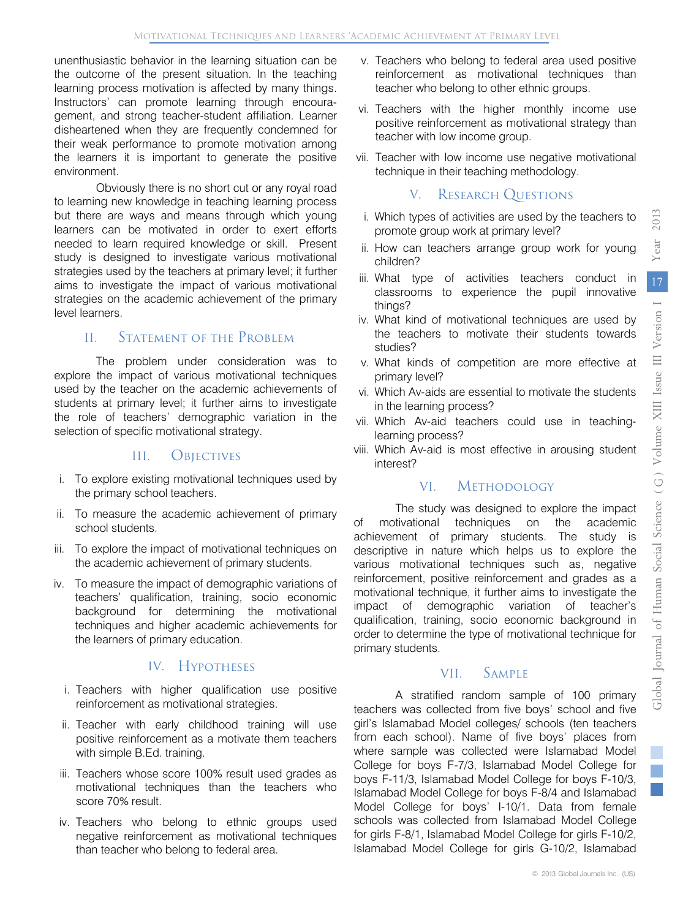unenthusiastic behavior in the learning situation can be the outcome of the present situation. In the teaching learning process motivation is affected by many things. Instructors' can promote learning through encouragement, and strong teacher-student affiliation. Learner disheartened when they are frequently condemned for their weak performance to promote motivation among the learners it is important to generate the positive environment.

Obviously there is no short cut or any royal road to learning new knowledge in teaching learning process but there are ways and means through which young learners can be motivated in order to exert efforts needed to learn required knowledge or skill. Present study is designed to investigate various motivational strategies used by the teachers at primary level; it further aims to investigate the impact of various motivational strategies on the academic achievement of the primary level learners.

## II. Statement of the Problem

The problem under consideration was to explore the impact of various motivational techniques used by the teacher on the academic achievements of students at primary level; it further aims to investigate the role of teachers' demographic variation in the selection of specific motivational strategy.

#### III. Objectives

- i. To explore existing motivational techniques used by the primary school teachers.
- ii. To measure the academic achievement of primary school students.
- iii. To explore the impact of motivational techniques on the academic achievement of primary students.
- iv. To measure the impact of demographic variations of teachers' qualification, training, socio economic background for determining the motivational techniques and higher academic achievements for the learners of primary education.

## IV. HYPOTHESES

- i. Teachers with higher qualification use positive reinforcement as motivational strategies.
- ii. Teacher with early childhood training will use positive reinforcement as a motivate them teachers with simple B.Ed. training.
- iii. Teachers whose score 100% result used grades as motivational techniques than the teachers who score 70% result.
- iv. Teachers who belong to ethnic groups used negative reinforcement as motivational techniques than teacher who belong to federal area.
- v. Teachers who belong to federal area used positive reinforcement as motivational techniques than teacher who belong to other ethnic groups.
- vi. Teachers with the higher monthly income use positive reinforcement as motivational strategy than teacher with low income group.
- vii. Teacher with low income use negative motivational technique in their teaching methodology.

## V. RESEARCH QUESTIONS

- i. Which types of activities are used by the teachers to promote group work at primary level?
- ii. How can teachers arrange group work for young children?
- iii. What type of activities teachers conduct in classrooms to experience the pupil innovative things?
- iv. What kind of motivational techniques are used by the teachers to motivate their students towards studies?
- v. What kinds of competition are more effective at primary level?
- vi. Which Av-aids are essential to motivate the students in the learning process?
- vii. Which Av-aid teachers could use in teachinglearning process?
- viii. Which Av-aid is most effective in arousing student interest?

#### VI. Methodology

The study was designed to explore the impact of motivational techniques on the academic achievement of primary students. The study is descriptive in nature which helps us to explore the various motivational techniques such as, negative reinforcement, positive reinforcement and grades as a motivational technique, it further aims to investigate the impact of demographic variation of teacher's qualification, training, socio economic background in order to determine the type of motivational technique for primary students.

## VII. Sample

A stratified random sample of 100 primary teachers was collected from five boys' school and five girl's Islamabad Model colleges/ schools (ten teachers from each school). Name of five boys' places from where sample was collected were Islamabad Model College for boys F-7/3, Islamabad Model College for boys F-11/3, Islamabad Model College for boys F-10/3, Islamabad Model College for boys F-8/4 and Islamabad Model College for boys' I-10/1. Data from female schools was collected from Islamabad Model College for girls F-8/1, Islamabad Model College for girls F-10/2, Islamabad Model College for girls G-10/2, Islamabad 2013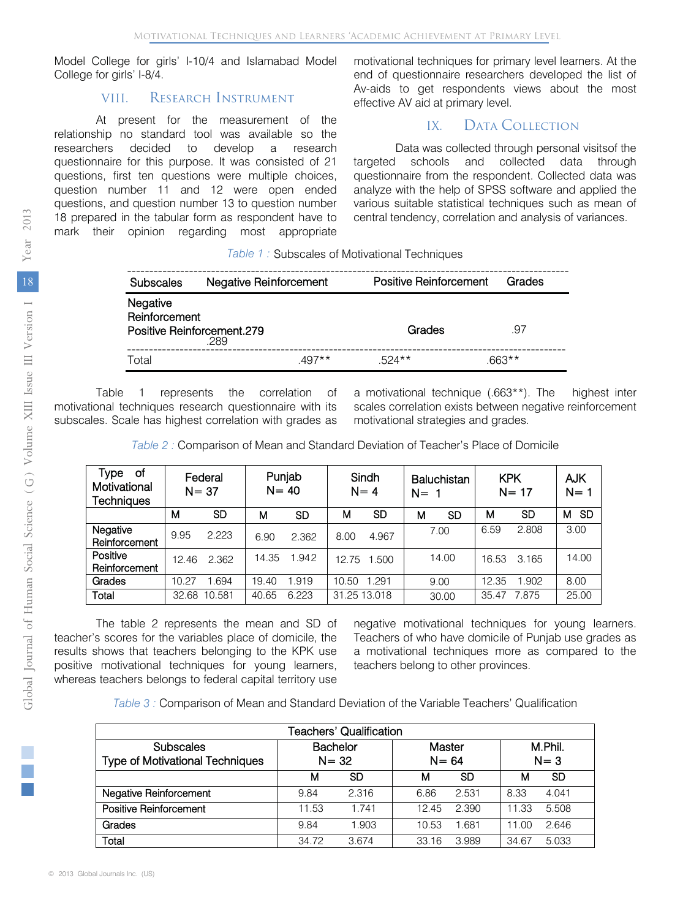Model College for girls' I-10/4 and Islamabad Model College for girls' I-8/4.

#### VIII. RESEARCH INSTRUMENT

At present for the measurement of the relationship no standard tool was available so the researchers decided to develop a research questionnaire for this purpose. It was consisted of 21 questions, first ten questions were multiple choices, question number 11 and 12 were open ended questions, and question number 13 to question number 18 prepared in the tabular form as respondent have to mark their opinion regarding most appropriate motivational techniques for primary level learners. At the end of questionnaire researchers developed the list of Av-aids to get respondents views about the most effective AV aid at primary level.

## IX. DATA COLLECTION

Data was collected through personal visitsof the targeted schools and collected data through questionnaire from the respondent. Collected data was analyze with the help of SPSS software and applied the various suitable statistical techniques such as mean of central tendency, correlation and analysis of variances.

|  | Table 1: Subscales of Motivational Techniques |  |
|--|-----------------------------------------------|--|
|  |                                               |  |

| <b>Subscales</b>          | Negative Reinforcement             | Positive Reinforcement | Grades   |
|---------------------------|------------------------------------|------------------------|----------|
| Negative<br>Reinforcement | Positive Reinforcement.279<br>.289 | Grades                 | .97      |
| Total                     | $.497**$                           | $524**$                | $.663**$ |

 Table 1 represents the correlation of motivational techniques research questionnaire with its subscales. Scale has highest correlation with grades as a motivational technique (.663\*\*). The highest inter scales correlation exists between negative reinforcement motivational strategies and grades.

*Table 2 :* Comparison of Mean and Standard Deviation of Teacher's Place of Domicile

| Type<br>of<br>Motivational<br><b>Techniques</b> |       | Federal<br>$N = 37$ | $N = 40$ | Punjab    |              | Sindh<br>$N = 4$ | $N=1$ | Baluchistan | <b>KPK</b> | $N = 17$ | <b>AJK</b><br>$N=$ |
|-------------------------------------------------|-------|---------------------|----------|-----------|--------------|------------------|-------|-------------|------------|----------|--------------------|
|                                                 | м     | SD                  | м        | <b>SD</b> | м            | SD               | м     | SD          | м          | SD       | <b>SD</b><br>м     |
| Negative<br>Reinforcement                       | 9.95  | 2.223               | 6.90     | 2.362     | 8.00         | 4.967            |       | 7.00        | 6.59       | 2.808    | 3.00               |
| Positive<br>Reinforcement                       | 12.46 | 2.362               | 14.35    | 1.942     | 12.75        | 1.500            |       | 14.00       | 16.53      | 3.165    | 14.00              |
| Grades                                          | 10.27 | 1.694               | 19.40    | 1.919     | 10.50        | 1.291            |       | 9.00        | 12.35      | 1.902    | 8.00               |
| Total                                           | 32.68 | 10.581              | 40.65    | 6.223     | 31.25 13.018 |                  |       | 30.00       | 35.47      | 7.875    | 25.00              |

 The table 2 represents the mean and SD of teacher's scores for the variables place of domicile, the results shows that teachers belonging to the KPK use positive motivational techniques for young learners, whereas teachers belongs to federal capital territory use

negative motivational techniques for young learners. Teachers of who have domicile of Punjab use grades as a motivational techniques more as compared to the teachers belong to other provinces.

*Table 3 :* Comparison of Mean and Standard Deviation of the Variable Teachers' Qualification

| Teachers' Qualification                |          |                 |          |       |         |       |  |  |  |
|----------------------------------------|----------|-----------------|----------|-------|---------|-------|--|--|--|
| <b>Subscales</b>                       |          | <b>Bachelor</b> | Master   |       | M.Phil. |       |  |  |  |
| <b>Type of Motivational Techniques</b> | $N = 32$ |                 | $N = 64$ |       | $N = 3$ |       |  |  |  |
|                                        | м        | SD              | м        | SD    | м       | SD    |  |  |  |
| <b>Negative Reinforcement</b>          | 9.84     | 2.316           | 6.86     | 2.531 | 8.33    | 4.041 |  |  |  |
| <b>Positive Reinforcement</b>          | 11.53    | 1.741           | 12.45    | 2.390 | 11.33   | 5.508 |  |  |  |
| Grades                                 | 9.84     | 1.903           | 10.53    | 1.681 | 11.00   | 2.646 |  |  |  |
| Total                                  | 34.72    | 3.674           | 33.16    | 3.989 | 34.67   | 5.033 |  |  |  |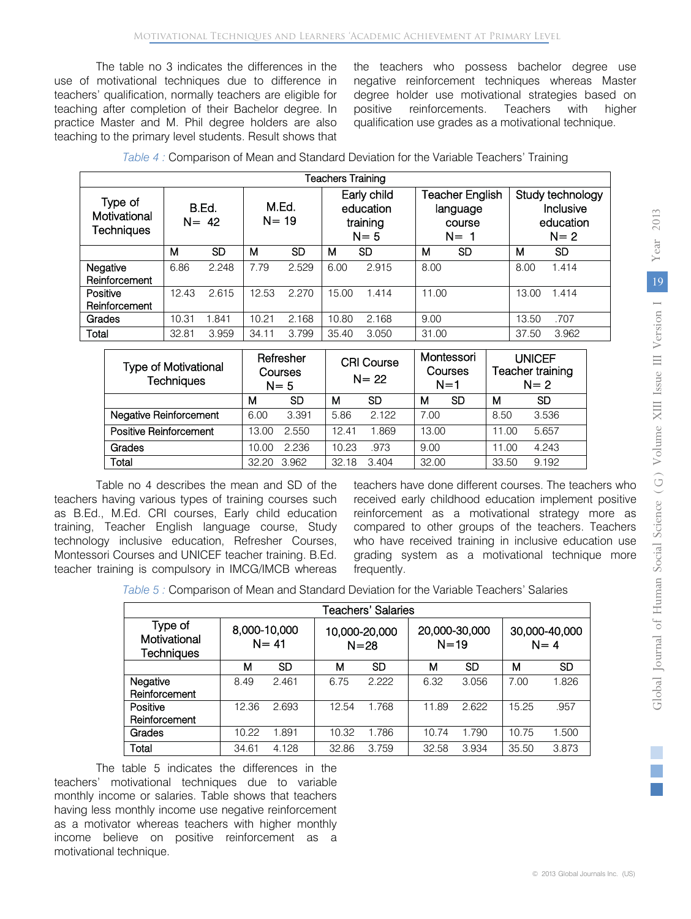The table no 3 indicates the differences in the use of motivational techniques due to difference in teachers' qualification, normally teachers are eligible for teaching after completion of their Bachelor degree. In practice Master and M. Phil degree holders are also teaching to the primary level students. Result shows that the teachers who possess bachelor degree use negative reinforcement techniques whereas Master degree holder use motivational strategies based on positive reinforcements. Teachers with higher qualification use grades as a motivational technique.

| Teachers Training                            |       |                   |                   |       |       |                                                 |       |                                                |       |                                                       |
|----------------------------------------------|-------|-------------------|-------------------|-------|-------|-------------------------------------------------|-------|------------------------------------------------|-------|-------------------------------------------------------|
| Type of<br>Motivational<br><b>Techniques</b> |       | B.Ed.<br>$N = 42$ | M.Ed.<br>$N = 19$ |       |       | Early child<br>education<br>training<br>$N = 5$ |       | Teacher English<br>language<br>course<br>$N=1$ |       | Study technology<br>Inclusive<br>education<br>$N = 2$ |
|                                              | м     | <b>SD</b>         | м                 | SD    | м     | <b>SD</b>                                       | м     | SD                                             | м     | SD                                                    |
| Negative<br>Reinforcement                    | 6.86  | 2.248             | 7.79              | 2.529 | 6.00  | 2.915                                           | 8.00  |                                                | 8.00  | 1.414                                                 |
| Positive<br>Reinforcement                    | 12.43 | 2.615             | 12.53             | 2.270 | 15.00 | 1.414                                           | 11.00 |                                                | 13.00 | 1.414                                                 |
| Grades                                       | 10.31 | .841              | 10.21             | 2.168 | 10.80 | 2.168                                           | 9.00  |                                                | 13.50 | .707                                                  |
| Total                                        | 32.81 | 3.959             | 34.11             | 3.799 | 35.40 | 3.050                                           | 31.00 |                                                | 37.50 | 3.962                                                 |

| <b>Type of Motivational</b><br><b>Techniques</b> | Refresher<br><b>CRI Course</b><br>Courses<br>$N = 22$<br>$N = 5$ |       | Montessori<br>Courses<br>$N=1$ |       | <b>UNICEF</b><br>Teacher training<br>$N=2$ |           |       |           |
|--------------------------------------------------|------------------------------------------------------------------|-------|--------------------------------|-------|--------------------------------------------|-----------|-------|-----------|
|                                                  | м                                                                | SD    | м                              | SD    | м                                          | <b>SD</b> | м     | <b>SD</b> |
| <b>Negative Reinforcement</b>                    | 6.00                                                             | 3.391 | 5.86                           | 2.122 | 7.00                                       |           | 8.50  | 3.536     |
| <b>Positive Reinforcement</b>                    | 13.00                                                            | 2.550 | 12.41                          | 1.869 | 13.00                                      |           | 11.00 | 5.657     |
| Grades                                           | 10.00                                                            | 2.236 | 10.23                          | .973  | 9.00                                       |           | 11.00 | 4.243     |
| Total                                            | 32.20                                                            | 3.962 | 32.18                          | 3.404 | 32.00                                      |           | 33.50 | 9.192     |

 teachers having various types of training courses such as B.Ed., M.Ed. CRI courses, Early child education technology inclusive education, Refresher Courses, Table no 4 describes the mean and SD of the training, Teacher English language course, Study Montessori Courses and UNICEF teacher training. B.Ed. teacher training is compulsory in IMCG/IMCB whereas

teachers have done different courses. The teachers who received early childhood education implement positive reinforcement as a motivational strategy more as compared to other groups of the teachers. Teachers who have received training in inclusive education use grading system as a motivational technique more frequently.

*Table 5 :* Comparison of Mean and Standard Deviation for the Variable Teachers' Salaries

|                                              | Teachers' Salaries       |       |                           |           |                           |       |                          |       |  |  |
|----------------------------------------------|--------------------------|-------|---------------------------|-----------|---------------------------|-------|--------------------------|-------|--|--|
| Type of<br>Motivational<br><b>Techniques</b> | 8,000-10,000<br>$N = 41$ |       | 10,000-20,000<br>$N = 28$ |           | 20,000-30,000<br>$N = 19$ |       | 30,000-40,000<br>$N = 4$ |       |  |  |
|                                              | м                        | SD    | м                         | <b>SD</b> | м                         | SD    | м                        | SD    |  |  |
| Negative<br>Reinforcement                    | 8.49                     | 2.461 | 6.75                      | 2.222     | 6.32                      | 3.056 | 7.00                     | 1.826 |  |  |
| Positive<br>Reinforcement                    | 12.36                    | 2.693 | 12.54                     | 1.768     | 11.89                     | 2.622 | 15.25                    | .957  |  |  |
| Grades                                       | 10.22                    | 1.891 | 10.32                     | 1.786     | 10.74                     | 1.790 | 10.75                    | 1.500 |  |  |
| Total                                        | 34.61                    | 4.128 | 32.86                     | 3.759     | 32.58                     | 3.934 | 35.50                    | 3.873 |  |  |

 The table 5 indicates the differences in the teachers' motivational techniques due to variable having less monthly income use negative reinforcement as a motivator whereas teachers with higher monthly income believe on positive reinforcement as a monthly income or salaries. Table shows that teachers motivational technique.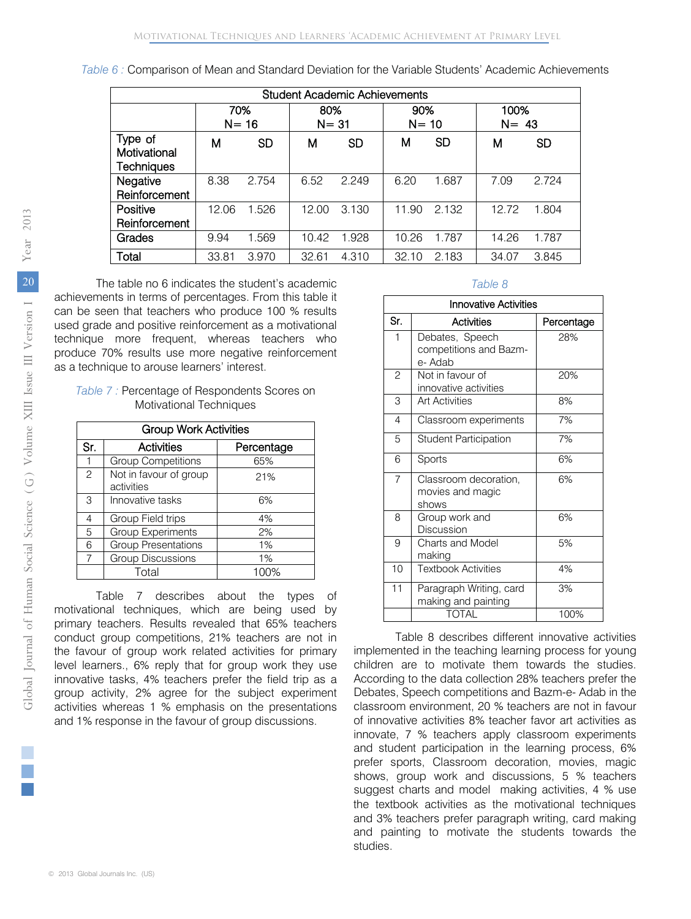*Table 6 :* Comparison of Mean and Standard Deviation for the Variable Students' Academic Achievements

|                                              | <b>Student Academic Achievements</b> |           |                 |           |                 |           |                  |           |  |
|----------------------------------------------|--------------------------------------|-----------|-----------------|-----------|-----------------|-----------|------------------|-----------|--|
|                                              | 70%                                  | $N = 16$  | 80%<br>$N = 31$ |           | 90%<br>$N = 10$ |           | 100%<br>$N = 43$ |           |  |
| Type of<br>Motivational<br><b>Techniques</b> | м                                    | <b>SD</b> | м               | <b>SD</b> | м               | <b>SD</b> | м                | <b>SD</b> |  |
| Negative<br>Reinforcement                    | 8.38                                 | 2.754     | 6.52            | 2.249     | 6.20            | 1.687     | 7.09             | 2.724     |  |
| Positive<br>Reinforcement                    | 12.06                                | 1.526     | 12.00           | 3.130     | 11.90           | 2.132     | 12.72            | 1.804     |  |
| Grades                                       | 9.94                                 | 1.569     | 10.42           | 1.928     | 10.26           | 1.787     | 14.26            | 1.787     |  |
| Total                                        | 33.81                                | 3.970     | 32.61           | 4.310     | 32.10           | 2.183     | 34.07            | 3.845     |  |

 The table no 6 indicates the student's academic achievements in terms of percentages. From this table it can be seen that teachers who produce 100 % results used grade and positive reinforcement as a motivational technique more frequent, whereas teachers who produce 70% results use more negative reinforcement as a technique to arouse learners' interest.

| Table 7: Percentage of Respondents Scores on |  |
|----------------------------------------------|--|
| <b>Motivational Techniques</b>               |  |

|     | <b>Group Work Activities</b>         |            |  |  |  |  |  |  |  |
|-----|--------------------------------------|------------|--|--|--|--|--|--|--|
| Sr. | <b>Activities</b>                    | Percentage |  |  |  |  |  |  |  |
|     | <b>Group Competitions</b>            | 65%        |  |  |  |  |  |  |  |
| 2   | Not in favour of group<br>activities | 21%        |  |  |  |  |  |  |  |
| 3   | Innovative tasks                     | 6%         |  |  |  |  |  |  |  |
| 4   | Group Field trips                    | 4%         |  |  |  |  |  |  |  |
| 5   | <b>Group Experiments</b>             | 2%         |  |  |  |  |  |  |  |
| 6   | <b>Group Presentations</b>           | 1%         |  |  |  |  |  |  |  |
| 7   | <b>Group Discussions</b>             | 1%         |  |  |  |  |  |  |  |
|     | Total                                | 100%       |  |  |  |  |  |  |  |

Table 7 describes about the types of motivational techniques, which are being used by primary teachers. Results revealed that 65% teachers conduct group competitions, 21% teachers are not in the favour of group work related activities for primary level learners., 6% reply that for group work they use innovative tasks, 4% teachers prefer the field trip as a group activity, 2% agree for the subject experiment activities whereas 1 % emphasis on the presentations and 1% response in the favour of group discussions.

#### *Table 8*

|                | <b>Innovative Activities</b>                         |            |  |  |  |  |  |  |
|----------------|------------------------------------------------------|------------|--|--|--|--|--|--|
| Sr.            | Activities                                           | Percentage |  |  |  |  |  |  |
| 1              | Debates, Speech<br>competitions and Bazm-<br>e- Adab | 28%        |  |  |  |  |  |  |
| $\overline{c}$ | Not in favour of<br>innovative activities            | 20%        |  |  |  |  |  |  |
| 3              | <b>Art Activities</b>                                | 8%         |  |  |  |  |  |  |
| $\overline{4}$ | Classroom experiments                                | 7%         |  |  |  |  |  |  |
| 5              | <b>Student Participation</b>                         | 7%         |  |  |  |  |  |  |
| 6              | Sports                                               | 6%         |  |  |  |  |  |  |
| $\overline{7}$ | Classroom decoration,<br>movies and magic<br>shows   | 6%         |  |  |  |  |  |  |
| 8              | Group work and<br>Discussion                         | 6%         |  |  |  |  |  |  |
| 9              | Charts and Model<br>making                           | 5%         |  |  |  |  |  |  |
| 10             | <b>Textbook Activities</b>                           | 4%         |  |  |  |  |  |  |
| 11             | Paragraph Writing, card<br>making and painting       | 3%         |  |  |  |  |  |  |
|                | TOTAL                                                | 100%       |  |  |  |  |  |  |

Table 8 describes different innovative activities implemented in the teaching learning process for young children are to motivate them towards the studies. According to the data collection 28% teachers prefer the Debates, Speech competitions and Bazm-e- Adab in the classroom environment, 20 % teachers are not in favour of innovative activities 8% teacher favor art activities as innovate, 7 % teachers apply classroom experiments and student participation in the learning process, 6% prefer sports, Classroom decoration, movies, magic shows, group work and discussions, 5 % teachers suggest charts and model making activities, 4 % use the textbook activities as the motivational techniques and 3% teachers prefer paragraph writing, card making and painting to motivate the students towards the studies.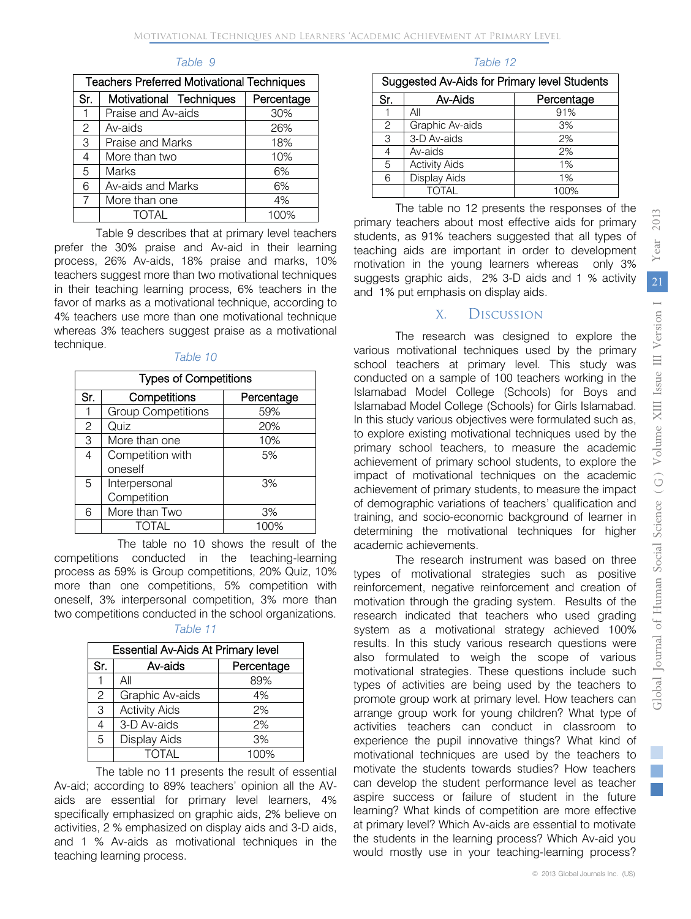| <b>Teachers Preferred Motivational Techniques</b> |                         |            |  |
|---------------------------------------------------|-------------------------|------------|--|
| Sr.                                               | Motivational Techniques | Percentage |  |
| 1                                                 | Praise and Av-aids      | 30%        |  |
| $\mathbf{2}$                                      | Av-aids                 | 26%        |  |
| 3                                                 | Praise and Marks        | 18%        |  |
| 4                                                 | More than two           | 10%        |  |
| 5                                                 | <b>Marks</b>            | 6%         |  |
| 6                                                 | Av-aids and Marks       | 6%         |  |
| 7                                                 | More than one           | 4%         |  |
|                                                   | TOTAI                   | 100%       |  |

#### *Table 9*

Table 9 describes that at primary level teachers prefer the 30% praise and Av-aid in their learning process, 26% Av-aids, 18% praise and marks, 10% teachers suggest more than two motivational techniques in their teaching learning process, 6% teachers in the favor of marks as a motivational technique, according to 4% teachers use more than one motivational technique whereas 3% teachers suggest praise as a motivational technique.

#### *Table 10*

| <b>Types of Competitions</b> |                           |            |  |
|------------------------------|---------------------------|------------|--|
| Sr.                          | Competitions              | Percentage |  |
| 1                            | <b>Group Competitions</b> | 59%        |  |
| $\mathbf{2}$                 | Quiz                      | 20%        |  |
| 3                            | More than one             | 10%        |  |
| 4                            | Competition with          | 5%         |  |
|                              | oneself                   |            |  |
| 5                            | Interpersonal             | 3%         |  |
|                              | Competition               |            |  |
| 6                            | More than Two             | 3%         |  |
|                              | TOTAI                     | 100%       |  |

 The table no 10 shows the result of the competitions conducted in the teaching-learning process as 59% is Group competitions, 20% Quiz, 10% more than one competitions, 5% competition with oneself, 3% interpersonal competition, 3% more than two competitions conducted in the school organizations.

#### *Table 11*

| <b>Essential Av-Aids At Primary level</b> |                      |            |  |  |
|-------------------------------------------|----------------------|------------|--|--|
| Sr.                                       | Av-aids              | Percentage |  |  |
|                                           | All                  | 89%        |  |  |
| $\mathcal{P}$                             | Graphic Av-aids      | 4%         |  |  |
| 3                                         | <b>Activity Aids</b> | 2%         |  |  |
| 4                                         | 3-D Av-aids          | 2%         |  |  |
| 5                                         | Display Aids         | 3%         |  |  |
|                                           | TOTAI                | 100%       |  |  |

The table no 11 presents the result of essential Av-aid; according to 89% teachers' opinion all the AVaids are essential for primary level learners, 4% specifically emphasized on graphic aids, 2% believe on activities, 2 % emphasized on display aids and 3-D aids, and 1 % Av-aids as motivational techniques in the teaching learning process.

#### *Table 12*

| Suggested Av-Aids for Primary level Students |                      |            |  |  |
|----------------------------------------------|----------------------|------------|--|--|
| Sr.                                          | Av-Aids              | Percentage |  |  |
|                                              | All                  | 91%        |  |  |
| 2                                            | Graphic Av-aids      | 3%         |  |  |
| 3                                            | 3-D Av-aids          | 2%         |  |  |
| 4                                            | Av-aids              | 2%         |  |  |
| 5                                            | <b>Activity Aids</b> | 1%         |  |  |
| 6                                            | Display Aids         | 1%         |  |  |
|                                              | TOTAL                | 100%       |  |  |

The table no 12 presents the responses of the primary teachers about most effective aids for primary students, as 91% teachers suggested that all types of teaching aids are important in order to development motivation in the young learners whereas only 3% suggests graphic aids, 2% 3-D aids and 1 % activity and 1% put emphasis on display aids.

## X. Discussion

The research was designed to explore the various motivational techniques used by the primary school teachers at primary level. This study was conducted on a sample of 100 teachers working in the Islamabad Model College (Schools) for Boys and Islamabad Model College (Schools) for Girls Islamabad. In this study various objectives were formulated such as, to explore existing motivational techniques used by the primary school teachers, to measure the academic achievement of primary school students, to explore the impact of motivational techniques on the academic achievement of primary students, to measure the impact of demographic variations of teachers' qualification and training, and socio-economic background of learner in determining the motivational techniques for higher academic achievements.

The research instrument was based on three types of motivational strategies such as positive reinforcement, negative reinforcement and creation of motivation through the grading system. Results of the research indicated that teachers who used grading system as a motivational strategy achieved 100% results. In this study various research questions were also formulated to weigh the scope of various motivational strategies. These questions include such types of activities are being used by the teachers to promote group work at primary level. How teachers can arrange group work for young children? What type of activities teachers can conduct in classroom to experience the pupil innovative things? What kind of motivational techniques are used by the teachers to motivate the students towards studies? How teachers can develop the student performance level as teacher aspire success or failure of student in the future learning? What kinds of competition are more effective at primary level? Which Av-aids are essential to motivate the students in the learning process? Which Av-aid you would mostly use in your teaching-learning process? 2013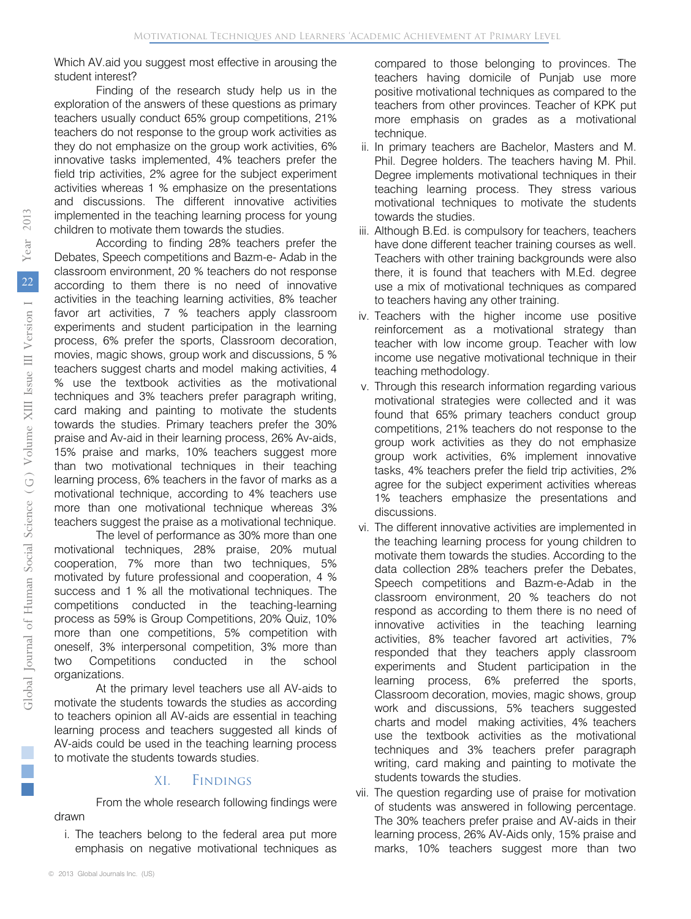Which AV.aid you suggest most effective in arousing the student interest?

Finding of the research study help us in the exploration of the answers of these questions as primary teachers usually conduct 65% group competitions, 21% teachers do not response to the group work activities as they do not emphasize on the group work activities, 6% innovative tasks implemented, 4% teachers prefer the field trip activities, 2% agree for the subject experiment activities whereas 1 % emphasize on the presentations and discussions. The different innovative activities implemented in the teaching learning process for young children to motivate them towards the studies.

According to finding 28% teachers prefer the Debates, Speech competitions and Bazm-e- Adab in the classroom environment, 20 % teachers do not response according to them there is no need of innovative activities in the teaching learning activities, 8% teacher favor art activities, 7 % teachers apply classroom experiments and student participation in the learning process, 6% prefer the sports, Classroom decoration, movies, magic shows, group work and discussions, 5 % teachers suggest charts and model making activities, 4 % use the textbook activities as the motivational techniques and 3% teachers prefer paragraph writing, card making and painting to motivate the students towards the studies. Primary teachers prefer the 30% praise and Av-aid in their learning process, 26% Av-aids, 15% praise and marks, 10% teachers suggest more than two motivational techniques in their teaching learning process, 6% teachers in the favor of marks as a motivational technique, according to 4% teachers use more than one motivational technique whereas 3% teachers suggest the praise as a motivational technique.

The level of performance as 30% more than one motivational techniques, 28% praise, 20% mutual cooperation, 7% more than two techniques, 5% motivated by future professional and cooperation, 4 % success and 1 % all the motivational techniques. The competitions conducted in the teaching-learning process as 59% is Group Competitions, 20% Quiz, 10% more than one competitions, 5% competition with oneself, 3% interpersonal competition, 3% more than two Competitions conducted in the school organizations.

At the primary level teachers use all AV-aids to motivate the students towards the studies as according to teachers opinion all AV-aids are essential in teaching learning process and teachers suggested all kinds of AV-aids could be used in the teaching learning process to motivate the students towards studies.

#### XI. Findings

From the whole research following findings were drawn

i. The teachers belong to the federal area put more emphasis on negative motivational techniques as

compared to those belonging to provinces. The teachers having domicile of Punjab use more positive motivational techniques as compared to the teachers from other provinces. Teacher of KPK put more emphasis on grades as a motivational technique.

- ii. In primary teachers are Bachelor, Masters and M. Phil. Degree holders. The teachers having M. Phil. Degree implements motivational techniques in their teaching learning process. They stress various motivational techniques to motivate the students towards the studies.
- iii. Although B.Ed. is compulsory for teachers, teachers have done different teacher training courses as well. Teachers with other training backgrounds were also there, it is found that teachers with M.Ed. degree use a mix of motivational techniques as compared to teachers having any other training.
- iv. Teachers with the higher income use positive reinforcement as a motivational strategy than teacher with low income group. Teacher with low income use negative motivational technique in their teaching methodology.
- v. Through this research information regarding various motivational strategies were collected and it was found that 65% primary teachers conduct group competitions, 21% teachers do not response to the group work activities as they do not emphasize group work activities, 6% implement innovative tasks, 4% teachers prefer the field trip activities, 2% agree for the subject experiment activities whereas 1% teachers emphasize the presentations and discussions.
- vi. The different innovative activities are implemented in the teaching learning process for young children to motivate them towards the studies. According to the data collection 28% teachers prefer the Debates, Speech competitions and Bazm-e-Adab in the classroom environment, 20 % teachers do not respond as according to them there is no need of innovative activities in the teaching learning activities, 8% teacher favored art activities, 7% responded that they teachers apply classroom experiments and Student participation in the learning process, 6% preferred the sports, Classroom decoration, movies, magic shows, group work and discussions, 5% teachers suggested charts and model making activities, 4% teachers use the textbook activities as the motivational techniques and 3% teachers prefer paragraph writing, card making and painting to motivate the students towards the studies.
- vii. The question regarding use of praise for motivation of students was answered in following percentage. The 30% teachers prefer praise and AV-aids in their learning process, 26% AV-Aids only, 15% praise and marks, 10% teachers suggest more than two

2013

Year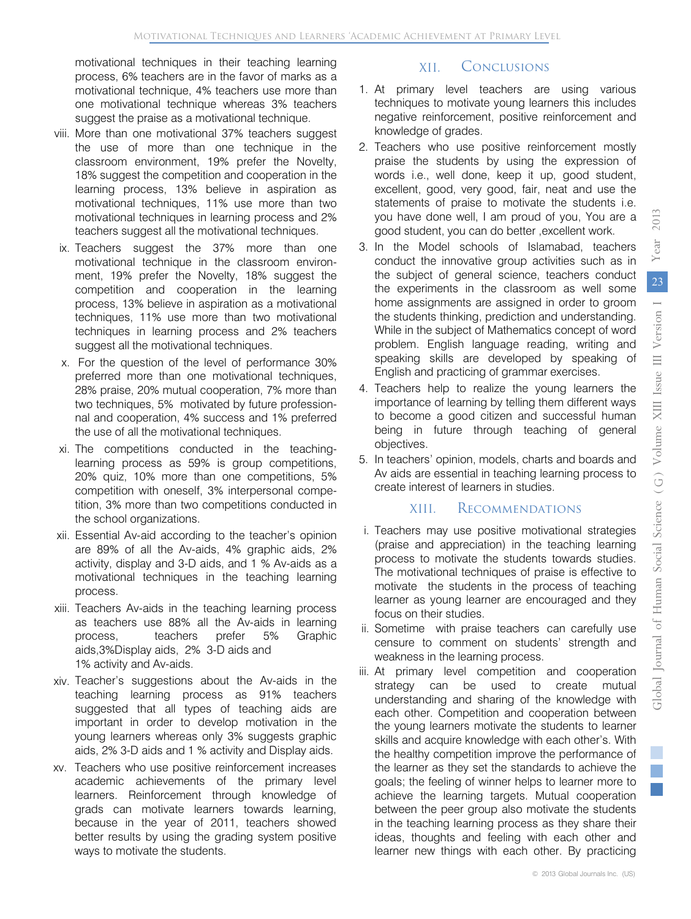motivational techniques in their teaching learning process, 6% teachers are in the favor of marks as a motivational technique, 4% teachers use more than one motivational technique whereas 3% teachers suggest the praise as a motivational technique.

- viii. More than one motivational 37% teachers suggest the use of more than one technique in the classroom environment, 19% prefer the Novelty, 18% suggest the competition and cooperation in the learning process, 13% believe in aspiration as motivational techniques, 11% use more than two motivational techniques in learning process and 2% teachers suggest all the motivational techniques.
- ix. Teachers suggest the 37% more than one motivational technique in the classroom environment, 19% prefer the Novelty, 18% suggest the competition and cooperation in the learning process, 13% believe in aspiration as a motivational techniques, 11% use more than two motivational techniques in learning process and 2% teachers suggest all the motivational techniques.
- x. For the question of the level of performance 30% preferred more than one motivational techniques, 28% praise, 20% mutual cooperation, 7% more than two techniques, 5% motivated by future professionnal and cooperation, 4% success and 1% preferred the use of all the motivational techniques.
- xi. The competitions conducted in the teachinglearning process as 59% is group competitions, 20% quiz, 10% more than one competitions, 5% competition with oneself, 3% interpersonal competition, 3% more than two competitions conducted in the school organizations.
- xii. Essential Av-aid according to the teacher's opinion are 89% of all the Av-aids, 4% graphic aids, 2% activity, display and 3-D aids, and 1 % Av-aids as a motivational techniques in the teaching learning process.
- xiii. Teachers Av-aids in the teaching learning process as teachers use 88% all the Av-aids in learning process, teachers prefer 5% Graphic aids,3%Display aids, 2% 3-D aids and 1% activity and Av-aids.
- xiv. Teacher's suggestions about the Av-aids in the teaching learning process as 91% teachers suggested that all types of teaching aids are important in order to develop motivation in the young learners whereas only 3% suggests graphic aids, 2% 3-D aids and 1 % activity and Display aids.
- xv. Teachers who use positive reinforcement increases academic achievements of the primary level learners. Reinforcement through knowledge of grads can motivate learners towards learning, because in the year of 2011, teachers showed better results by using the grading system positive ways to motivate the students.

## XII. Conclusions

- 1. At primary level teachers are using various techniques to motivate young learners this includes negative reinforcement, positive reinforcement and knowledge of grades.
- 2. Teachers who use positive reinforcement mostly praise the students by using the expression of words i.e., well done, keep it up, good student, excellent, good, very good, fair, neat and use the statements of praise to motivate the students i.e. you have done well, I am proud of you, You are a good student, you can do better ,excellent work.
- 3. In the Model schools of Islamabad, teachers conduct the innovative group activities such as in the subject of general science, teachers conduct the experiments in the classroom as well some home assignments are assigned in order to groom the students thinking, prediction and understanding. While in the subject of Mathematics concept of word problem. English language reading, writing and speaking skills are developed by speaking of English and practicing of grammar exercises.
- 4. Teachers help to realize the young learners the importance of learning by telling them different ways to become a good citizen and successful human being in future through teaching of general objectives.
- 5. In teachers' opinion, models, charts and boards and Av aids are essential in teaching learning process to create interest of learners in studies.

## XIII. Recommendations

- i. Teachers may use positive motivational strategies (praise and appreciation) in the teaching learning process to motivate the students towards studies. The motivational techniques of praise is effective to motivate the students in the process of teaching learner as young learner are encouraged and they focus on their studies.
- ii. Sometime with praise teachers can carefully use censure to comment on students' strength and weakness in the learning process.
- iii. At primary level competition and cooperation strategy can be used to create mutual understanding and sharing of the knowledge with each other. Competition and cooperation between the young learners motivate the students to learner skills and acquire knowledge with each other's. With the healthy competition improve the performance of the learner as they set the standards to achieve the goals; the feeling of winner helps to learner more to achieve the learning targets. Mutual cooperation between the peer group also motivate the students in the teaching learning process as they share their ideas, thoughts and feeling with each other and learner new things with each other. By practicing